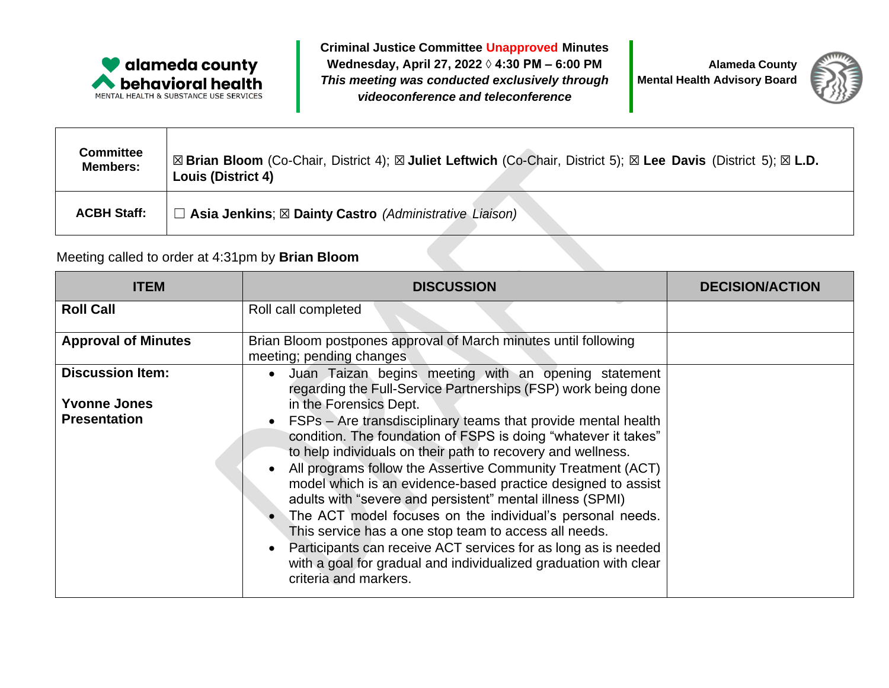

**Criminal Justice Committee Unapproved Minutes Wednesday, April 27, 2022 ◊ 4:30 PM – 6:00 PM** *This meeting was conducted exclusively through videoconference and teleconference*

**Alameda County Mental Health Advisory Board**



| <b>Committee</b>   | ⊠ Brian Bloom (Co-Chair, District 4); ⊠ Juliet Leftwich (Co-Chair, District 5); ⊠ Lee Davis (District 5); ⊠ L.D. |
|--------------------|------------------------------------------------------------------------------------------------------------------|
| <b>Members:</b>    | <b>Louis (District 4)</b>                                                                                        |
| <b>ACBH Staff:</b> | $\Box$ Asia Jenkins; $\boxtimes$ Dainty Castro (Administrative Liaison)                                          |

## Meeting called to order at 4:31pm by **Brian Bloom**

| <b>ITEM</b>                                                           | <b>DISCUSSION</b>                                                                                                                                                                                                                                                                                                                                                                                                                                                                                                                                                                                                                                                                                                                                                                                                      | <b>DECISION/ACTION</b> |
|-----------------------------------------------------------------------|------------------------------------------------------------------------------------------------------------------------------------------------------------------------------------------------------------------------------------------------------------------------------------------------------------------------------------------------------------------------------------------------------------------------------------------------------------------------------------------------------------------------------------------------------------------------------------------------------------------------------------------------------------------------------------------------------------------------------------------------------------------------------------------------------------------------|------------------------|
| <b>Roll Call</b>                                                      | Roll call completed                                                                                                                                                                                                                                                                                                                                                                                                                                                                                                                                                                                                                                                                                                                                                                                                    |                        |
| <b>Approval of Minutes</b>                                            | Brian Bloom postpones approval of March minutes until following<br>meeting; pending changes                                                                                                                                                                                                                                                                                                                                                                                                                                                                                                                                                                                                                                                                                                                            |                        |
| <b>Discussion Item:</b><br><b>Yvonne Jones</b><br><b>Presentation</b> | Juan Taizan begins meeting with an opening statement<br>$\bullet$<br>regarding the Full-Service Partnerships (FSP) work being done<br>in the Forensics Dept.<br>FSPs - Are transdisciplinary teams that provide mental health<br>condition. The foundation of FSPS is doing "whatever it takes"<br>to help individuals on their path to recovery and wellness.<br>All programs follow the Assertive Community Treatment (ACT)<br>model which is an evidence-based practice designed to assist<br>adults with "severe and persistent" mental illness (SPMI)<br>The ACT model focuses on the individual's personal needs.<br>This service has a one stop team to access all needs.<br>Participants can receive ACT services for as long as is needed<br>with a goal for gradual and individualized graduation with clear |                        |
|                                                                       | criteria and markers.                                                                                                                                                                                                                                                                                                                                                                                                                                                                                                                                                                                                                                                                                                                                                                                                  |                        |